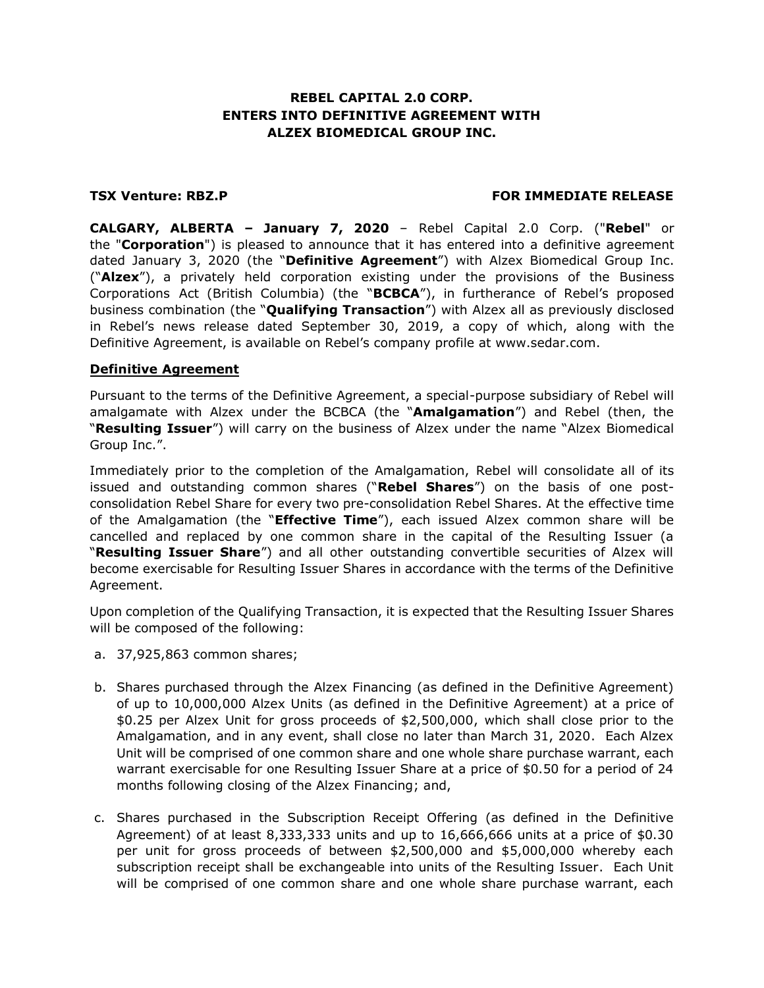## **REBEL CAPITAL 2.0 CORP. ENTERS INTO DEFINITIVE AGREEMENT WITH ALZEX BIOMEDICAL GROUP INC.**

#### **TSX Venture: RBZ.P FOR IMMEDIATE RELEASE**

**CALGARY, ALBERTA – January 7, 2020** – Rebel Capital 2.0 Corp. ("**Rebel**" or the "**Corporation**") is pleased to announce that it has entered into a definitive agreement dated January 3, 2020 (the "**Definitive Agreement**") with Alzex Biomedical Group Inc. ("**Alzex**"), a privately held corporation existing under the provisions of the Business Corporations Act (British Columbia) (the "**BCBCA**"), in furtherance of Rebel's proposed business combination (the "**Qualifying Transaction**") with Alzex all as previously disclosed in Rebel's news release dated September 30, 2019, a copy of which, along with the Definitive Agreement, is available on Rebel's company profile at www.sedar.com.

#### **Definitive Agreement**

Pursuant to the terms of the Definitive Agreement, a special-purpose subsidiary of Rebel will amalgamate with Alzex under the BCBCA (the "**Amalgamation**") and Rebel (then, the "**Resulting Issuer**") will carry on the business of Alzex under the name "Alzex Biomedical Group Inc.".

Immediately prior to the completion of the Amalgamation, Rebel will consolidate all of its issued and outstanding common shares ("**Rebel Shares**") on the basis of one postconsolidation Rebel Share for every two pre-consolidation Rebel Shares. At the effective time of the Amalgamation (the "**Effective Time**"), each issued Alzex common share will be cancelled and replaced by one common share in the capital of the Resulting Issuer (a "**Resulting Issuer Share**") and all other outstanding convertible securities of Alzex will become exercisable for Resulting Issuer Shares in accordance with the terms of the Definitive Agreement.

Upon completion of the Qualifying Transaction, it is expected that the Resulting Issuer Shares will be composed of the following:

- a. 37,925,863 common shares;
- b. Shares purchased through the Alzex Financing (as defined in the Definitive Agreement) of up to 10,000,000 Alzex Units (as defined in the Definitive Agreement) at a price of \$0.25 per Alzex Unit for gross proceeds of \$2,500,000, which shall close prior to the Amalgamation, and in any event, shall close no later than March 31, 2020. Each Alzex Unit will be comprised of one common share and one whole share purchase warrant, each warrant exercisable for one Resulting Issuer Share at a price of \$0.50 for a period of 24 months following closing of the Alzex Financing; and,
- c. Shares purchased in the Subscription Receipt Offering (as defined in the Definitive Agreement) of at least 8,333,333 units and up to 16,666,666 units at a price of \$0.30 per unit for gross proceeds of between \$2,500,000 and \$5,000,000 whereby each subscription receipt shall be exchangeable into units of the Resulting Issuer. Each Unit will be comprised of one common share and one whole share purchase warrant, each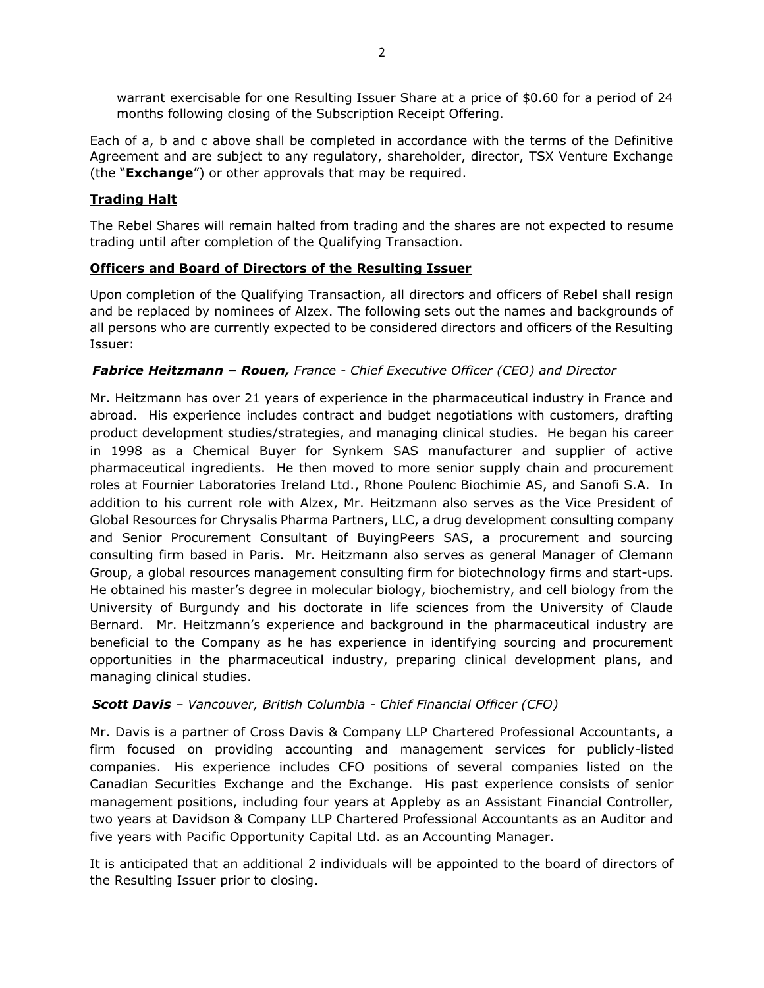warrant exercisable for one Resulting Issuer Share at a price of \$0.60 for a period of 24 months following closing of the Subscription Receipt Offering.

Each of a, b and c above shall be completed in accordance with the terms of the Definitive Agreement and are subject to any regulatory, shareholder, director, TSX Venture Exchange (the "**Exchange**") or other approvals that may be required.

# **Trading Halt**

The Rebel Shares will remain halted from trading and the shares are not expected to resume trading until after completion of the Qualifying Transaction.

## **Officers and Board of Directors of the Resulting Issuer**

Upon completion of the Qualifying Transaction, all directors and officers of Rebel shall resign and be replaced by nominees of Alzex. The following sets out the names and backgrounds of all persons who are currently expected to be considered directors and officers of the Resulting Issuer:

## *Fabrice Heitzmann – Rouen, France - Chief Executive Officer (CEO) and Director*

Mr. Heitzmann has over 21 years of experience in the pharmaceutical industry in France and abroad. His experience includes contract and budget negotiations with customers, drafting product development studies/strategies, and managing clinical studies. He began his career in 1998 as a Chemical Buyer for Synkem SAS manufacturer and supplier of active pharmaceutical ingredients. He then moved to more senior supply chain and procurement roles at Fournier Laboratories Ireland Ltd., Rhone Poulenc Biochimie AS, and Sanofi S.A. In addition to his current role with Alzex, Mr. Heitzmann also serves as the Vice President of Global Resources for Chrysalis Pharma Partners, LLC, a drug development consulting company and Senior Procurement Consultant of BuyingPeers SAS, a procurement and sourcing consulting firm based in Paris. Mr. Heitzmann also serves as general Manager of Clemann Group, a global resources management consulting firm for biotechnology firms and start-ups. He obtained his master's degree in molecular biology, biochemistry, and cell biology from the University of Burgundy and his doctorate in life sciences from the University of Claude Bernard. Mr. Heitzmann's experience and background in the pharmaceutical industry are beneficial to the Company as he has experience in identifying sourcing and procurement opportunities in the pharmaceutical industry, preparing clinical development plans, and managing clinical studies.

## *Scott Davis – Vancouver, British Columbia - Chief Financial Officer (CFO)*

Mr. Davis is a partner of Cross Davis & Company LLP Chartered Professional Accountants, a firm focused on providing accounting and management services for publicly-listed companies. His experience includes CFO positions of several companies listed on the Canadian Securities Exchange and the Exchange. His past experience consists of senior management positions, including four years at Appleby as an Assistant Financial Controller, two years at Davidson & Company LLP Chartered Professional Accountants as an Auditor and five years with Pacific Opportunity Capital Ltd. as an Accounting Manager.

It is anticipated that an additional 2 individuals will be appointed to the board of directors of the Resulting Issuer prior to closing.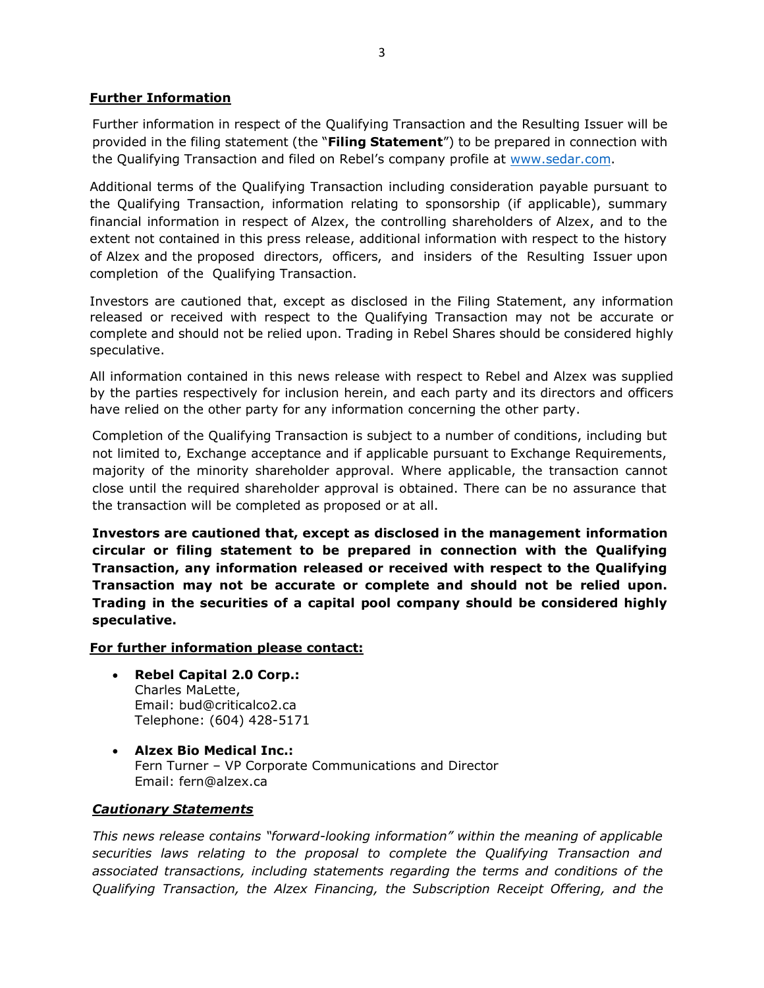### **Further Information**

Further information in respect of the Qualifying Transaction and the Resulting Issuer will be provided in the filing statement (the "**Filing Statement**") to be prepared in connection with the Qualifying Transaction and filed on Rebel's company profile at [www.sedar.com.](http://www.sedar.com/)

Additional terms of the Qualifying Transaction including consideration payable pursuant to the Qualifying Transaction, information relating to sponsorship (if applicable), summary financial information in respect of Alzex, the controlling shareholders of Alzex, and to the extent not contained in this press release, additional information with respect to the history of Alzex and the proposed directors, officers, and insiders of the Resulting Issuer upon completion of the Qualifying Transaction.

Investors are cautioned that, except as disclosed in the Filing Statement, any information released or received with respect to the Qualifying Transaction may not be accurate or complete and should not be relied upon. Trading in Rebel Shares should be considered highly speculative.

All information contained in this news release with respect to Rebel and Alzex was supplied by the parties respectively for inclusion herein, and each party and its directors and officers have relied on the other party for any information concerning the other party.

Completion of the Qualifying Transaction is subject to a number of conditions, including but not limited to, Exchange acceptance and if applicable pursuant to Exchange Requirements, majority of the minority shareholder approval. Where applicable, the transaction cannot close until the required shareholder approval is obtained. There can be no assurance that the transaction will be completed as proposed or at all.

**Investors are cautioned that, except as disclosed in the management information circular or filing statement to be prepared in connection with the Qualifying Transaction, any information released or received with respect to the Qualifying Transaction may not be accurate or complete and should not be relied upon. Trading in the securities of a capital pool company should be considered highly speculative.**

#### **For further information please contact:**

- **Rebel Capital 2.0 Corp.:** Charles MaLette, Email: bud@criticalco2.ca Telephone: (604) 428-5171
- **Alzex Bio Medical Inc.:** Fern Turner – VP Corporate Communications and Director Email: fern@alzex.ca

#### *Cautionary Statements*

*This news release contains "forward-looking information" within the meaning of applicable securities laws relating to the proposal to complete the Qualifying Transaction and associated transactions, including statements regarding the terms and conditions of the Qualifying Transaction, the Alzex Financing, the Subscription Receipt Offering, and the*